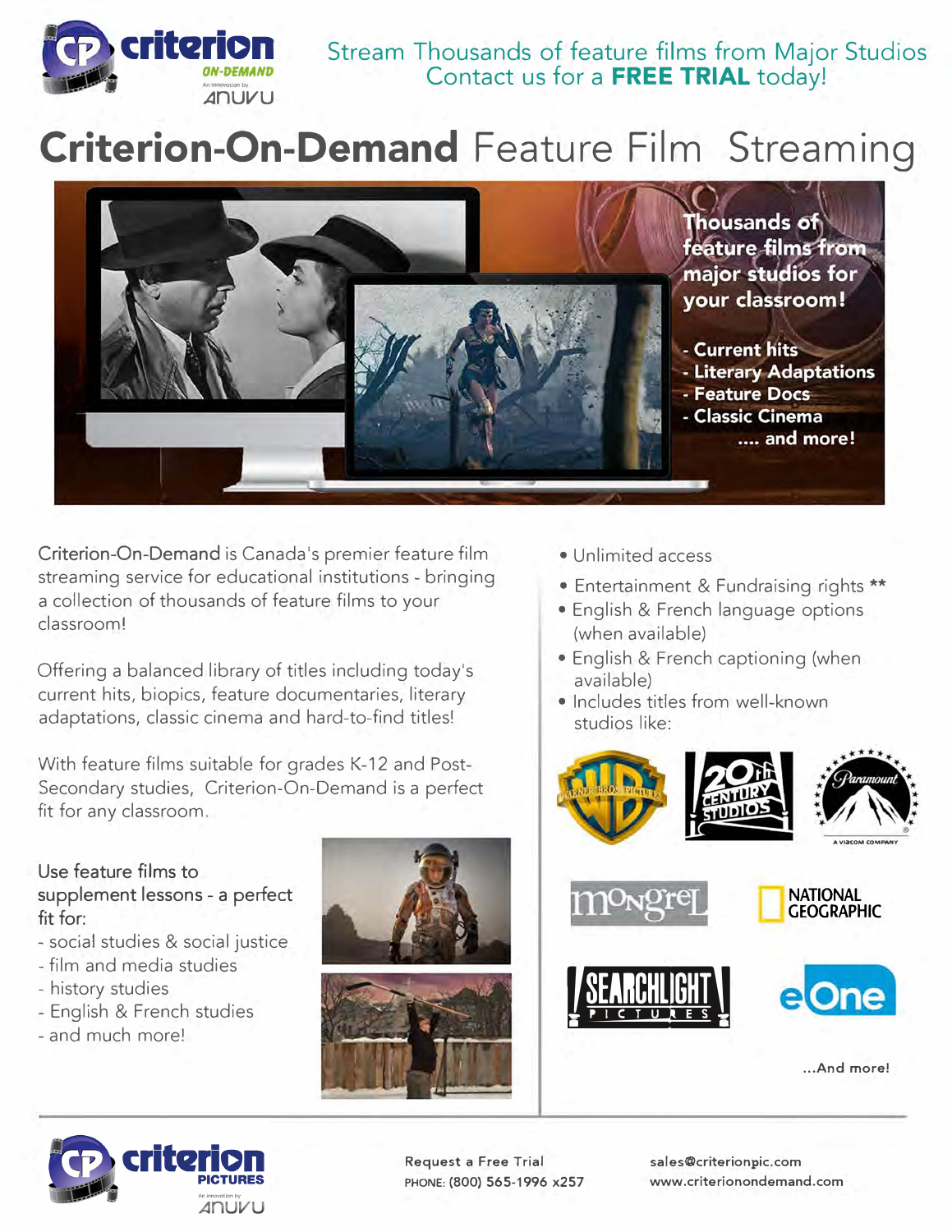

# **Criterion-On-Demand Feature Film Streaming**



**Criterion-On-Demand** is Canada's premier feature film streaming service for educational institutions - bringing a collection of thousands of feature films to your classroom!

Offering a balanced library of titles including today's current hits, biopics, feature documentaries, literary adaptations, classic cinema and hard-to-find titles!

With feature films suitable for grades K-12 and Post-Secondary studies, Criterion-On-Demand is a perfect fit for any classroom.

- **Use feature films to supplement lessons - a perfect fit for:**
- social studies & social justice
- film and media studies
- history studies
- English & French studies
- and much more!



- Unlimited access
- Entertainment & Fundraising rights \*\*
- English & French language options (when available)
- English & French captioning {when available)
- Includes titles from well-known studios like:







**Request a Free Trial PHONE: (800) 565-1996 x257** 

**sales@criterionpic.com www.criterionondemand.com**